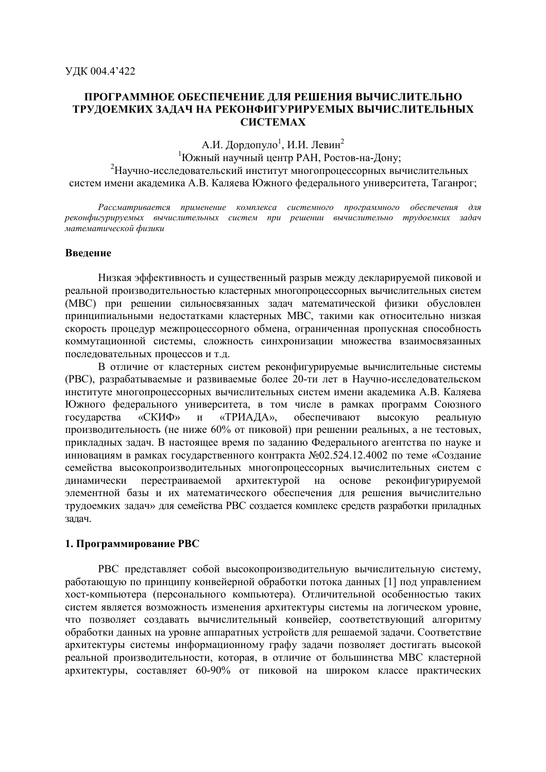# ПРОГРАММНОЕ ОБЕСПЕЧЕНИЕ ДЛЯ РЕШЕНИЯ ВЫЧИСЛИТЕЛЬНО ТРУДОЕМКИХ ЗАЛАЧ НА РЕКОНФИГУРИРУЕМЫХ ВЫЧИСЛИТЕЛЬНЫХ **CHCTEMAX**

А.И. Дордопуло<sup>1</sup>, И.И. Левин<sup>2</sup>

1Южный научный центр РАН, Ростов-на-Дону; <sup>2</sup>Научно-исследовательский институт многопроцессорных вычислительных систем имени академика А.В. Каляева Южного федерального университета, Таганрог;

Рассматривается применение комплекса системного программного обеспечения для реконфигурируемых вычислительных систем при решении вычислительно трудоемких задач математической физики

### Ввеление

Низкая эффективность и существенный разрыв между декларируемой пиковой и реальной производительностью кластерных многопроцессорных вычислительных систем (МВС) при решении сильносвязанных задач математической физики обусловлен принципиальными недостатками кластерных МВС, такими как относительно низкая скорость процедур межпроцессорного обмена, ограниченная пропускная способность коммутационной системы, сложность синхронизации множества взаимосвязанных последовательных процессов и т.д.

В отличие от кластерных систем реконфигурируемые вычислительные системы (РВС), разрабатываемые и развиваемые более 20-ти лет в Научно-исследовательском институте многопроцессорных вычислительных систем имени академика А.В. Каляева Южного федерального университета, в том числе в рамках программ Союзного госуларства «СКИФ» «ТРИАДА». обеспечивают **ВЫСОКУЮ** реальную  $\overline{M}$ произволительность (не ниже 60% от пиковой) при решении реальных, а не тестовых, прикладных задач. В настоящее время по заданию Федерального агентства по науке и инновациям в рамках государственного контракта №02.524.12.4002 по теме «Создание семейства высокопроизводительных многопроцессорных вычислительных систем с перестраиваемой архитектурой на основе реконфигурируемой линамически элементной базы и их математического обеспечения для решения вычислительно трудоемких задач» для семейства РВС создается комплекс средств разработки приладных задач.

## 1. Программирование РВС

РВС представляет собой высокопроизводительную вычислительную систему, работающую по принципу конвейерной обработки потока данных [1] под управлением хост-компьютера (персонального компьютера). Отличительной особенностью таких систем является возможность изменения архитектуры системы на логическом уровне, что позволяет созлавать вычислительный конвейер, соответствующий алгоритму обработки данных на уровне аппаратных устройств для решаемой задачи. Соответствие архитектуры системы информационному графу задачи позволяет достигать высокой реальной производительности, которая, в отличие от большинства МВС кластерной архитектуры, составляет 60-90% от пиковой на широком классе практических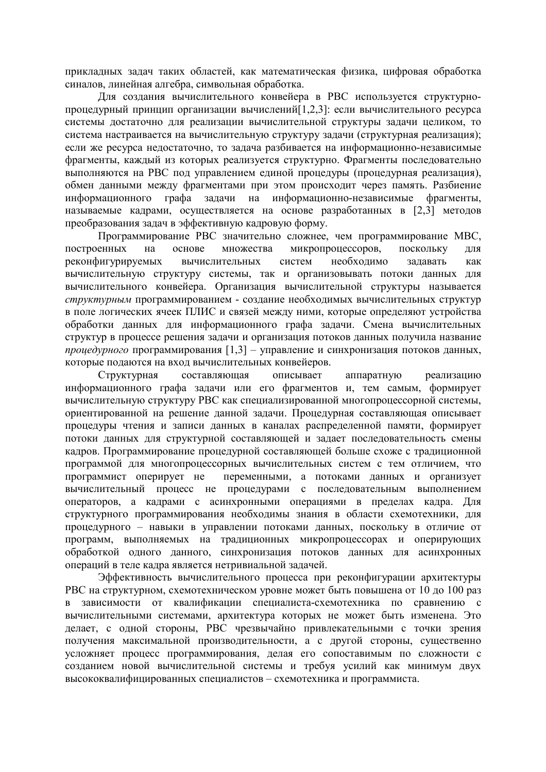прикладных задач таких областей, как математическая физика, цифровая обработка синалов, линейная алгебра, символьная обработка.

Для создания вычислительного конвейера в РВС используется структурнопроцедурный принцип организации вычислений [1,2,3]: если вычислительного ресурса системы достаточно для реализации вычислительной структуры задачи целиком, то система настраивается на вычислительную структуру задачи (структурная реализация); если же ресурса недостаточно, то задача разбивается на информационно-независимые фрагменты, каждый из которых реализуется структурно. Фрагменты последовательно выполняются на РВС под управлением единой процедуры (процедурная реализация), обмен данными между фрагментами при этом происходит через память. Разбиение информационного графа задачи на информационно-независимые фрагменты, называемые кадрами, осуществляется на основе разработанных в [2,3] методов преобразования задач в эффективную кадровую форму.

Программирование РВС значительно сложнее, чем программирование МВС, построенных микропроцессоров, на основе множества поскольку ДЛЯ реконфигурируемых вычислительных систем необходимо задавать как вычислительную структуру системы, так и организовывать потоки данных для вычислительного конвейера. Организация вычислительной структуры называется структурным программированием - создание необходимых вычислительных структур в поле логических ячеек ПЛИС и связей между ними, которые определяют устройства обработки данных для информационного графа задачи. Смена вычислительных структур в процессе решения задачи и организация потоков данных получила название проиедурного программирования [1,3] - управление и синхронизация потоков данных, которые подаются на вход вычислительных конвейеров.

Структурная составляющая описывает аппаратную реализацию информационного графа задачи или его фрагментов и, тем самым, формирует вычислительную структуру РВС как специализированной многопроцессорной системы, ориентированной на решение данной задачи. Процедурная составляющая описывает процедуры чтения и записи данных в каналах распределенной памяти, формирует потоки данных для структурной составляющей и задает последовательность смены кадров. Программирование процедурной составляющей больше схоже с традиционной программой для многопроцессорных вычислительных систем с тем отличием, что программист оперирует не переменными, а потоками данных и организует вычислительный процесс не процедурами с последовательным выполнением операторов, а кадрами с асинхронными операциями в пределах кадра. Для структурного программирования необходимы знания в области схемотехники, для процедурного - навыки в управлении потоками данных, поскольку в отличие от программ, выполняемых на традиционных микропроцессорах и оперирующих обработкой одного данного, синхронизация потоков данных для асинхронных операций в теле кадра является нетривиальной задачей.

Эффективность вычислительного процесса при реконфигурации архитектуры РВС на структурном, схемотехническом уровне может быть повышена от 10 до 100 раз в зависимости от квалификации специалиста-схемотехника по сравнению с вычислительными системами, архитектура которых не может быть изменена. Это делает, с одной стороны, РВС чрезвычайно привлекательными с точки зрения получения максимальной производительности, а с другой стороны, существенно усложняет процесс программирования, делая его сопоставимым по сложности с созданием новой вычислительной системы и требуя усилий как минимум двух высококвалифицированных специалистов - схемотехника и программиста.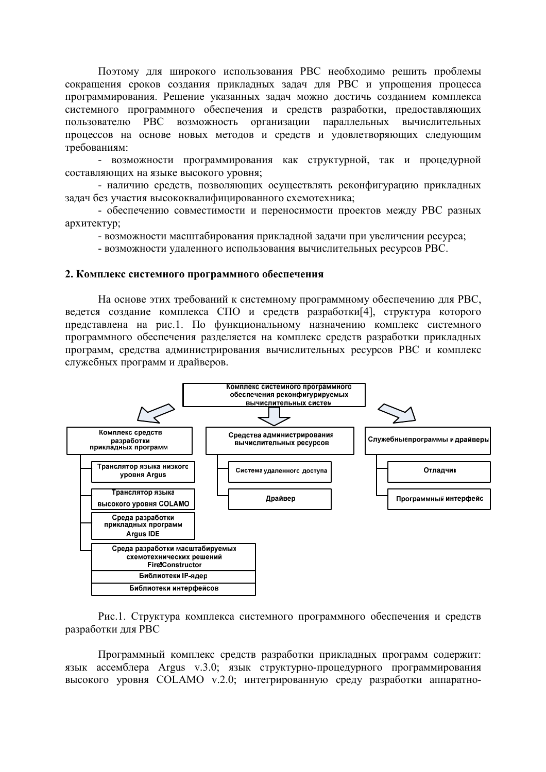Поэтому для широкого использования РВС необходимо решить проблемы сокращения сроков создания прикладных задач для РВС и упрощения процесса программирования. Решение указанных задач можно достичь созданием комплекса системного программного обеспечения и средств разработки, предоставляющих PBC возможность организации параллельных вычислительных пользователю процессов на основе новых методов и средств и удовлетворяющих следующим требованиям:

- возможности программирования как структурной, так и процедурной составляющих на языке высокого уровня;

- наличию средств, позволяющих осуществлять реконфигурацию прикладных задач без участия высококвалифицированного схемотехника;

- обеспечению совместимости и переносимости проектов между РВС разных архитектур;

- возможности масштабирования прикладной задачи при увеличении ресурса;

- возможности удаленного использования вычислительных ресурсов РВС.

#### 2. Комплекс системного программного обеспечения

На основе этих требований к системному программному обеспечению для РВС, ведется создание комплекса СПО и средств разработки[4], структура которого представлена на рис.1. По функциональному назначению комплекс системного программного обеспечения разлеляется на комплекс средств разработки приклалных программ, средства администрирования вычислительных ресурсов РВС и комплекс служебных программ и драйверов.



Рис.1. Структура комплекса системного программного обеспечения и средств разработки лля РВС

Программный комплекс средств разработки прикладных программ содержит: язык ассемблера Argus v.3.0; язык структурно-процедурного программирования высокого уровня СОLAMO v.2.0; интегрированную среду разработки аппаратно-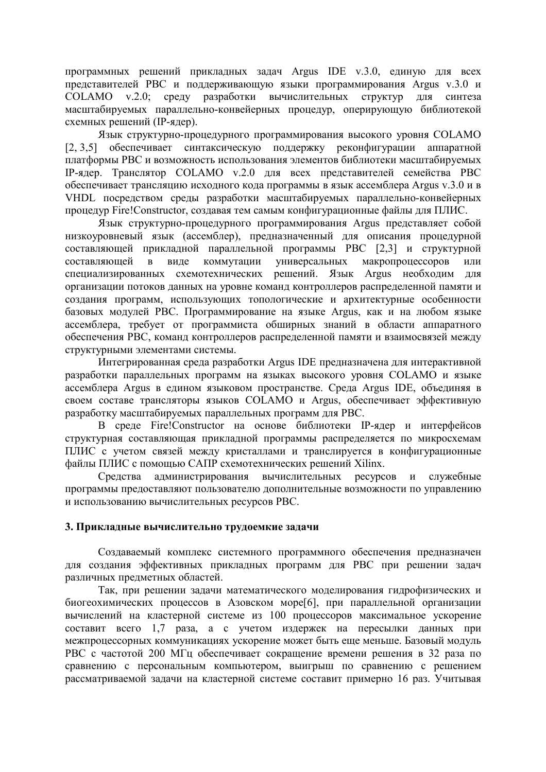программных решений прикладных задач Argus IDE v.3.0, единую для всех представителей РВС и поддерживающую языки программирования Argus v.3.0 и СОLAМО v.2.0; среду разработки вычислительных структур для синтеза масштабируемых параллельно-конвейерных процедур, оперирующую библиотекой схемных решений (IP-ядер).

Язык структурно-процедурного программирования высокого уровня СОLAМО [2, 3,5] обеспечивает синтаксическую поддержку реконфигурации аппаратной платформы РВС и возможность использования элементов библиотеки масштабируемых IP-ядер. Транслятор COLAMO v.2.0 для всех представителей семейства РВС обеспечивает трансляцию исходного кода программы в язык ассемблера Argus v.3.0 и в VHDL посредством среды разработки масштабируемых параллельно-конвейерных процедур Fire!Constructor, создавая тем самым конфигурационные файлы для ПЛИС.

Язык структурно-процедурного программирования Argus представляет собой низкоуровневый язык (ассемблер), предназначенный для описания процедурной составляющей прикладной параллельной программы РВС [2,3] и структурной составляющей в виде коммутации универсальных макропроцессоров ИЛИ специализированных схемотехнических решений. Язык Argus необходим для организации потоков данных на уровне команд контроллеров распределенной памяти и создания программ, использующих топологические и архитектурные особенности базовых модулей PBC. Программирование на языке Argus, как и на любом языке ассемблера, требует от программиста обширных знаний в области аппаратного обеспечения РВС, команд контроллеров распределенной памяти и взаимосвязей между структурными элементами системы.

Интегрированная среда разработки Argus IDE предназначена для интерактивной разработки параллельных программ на языках высокого уровня СОLAМО и языке ассемблера Argus в едином языковом пространстве. Среда Argus IDE, объединяя в своем составе трансляторы языков COLAMO и Argus, обеспечивает эффективную разработку масштабируемых параллельных программ для РВС.

В среде Fire!Constructor на основе библиотеки IP-ядер и интерфейсов структурная составляющая прикладной программы распределяется по микросхемам ПЛИС с учетом связей между кристаллами и транслируется в конфигурационные файлы ПЛИС с помощью САПР схемотехнических решений Xilinx.

администрирования вычислительных ресурсов и Средства служебные программы предоставляют пользователю дополнительные возможности по управлению и использованию вычислительных ресурсов РВС.

## 3. Прикладные вычислительно трудоемкие задачи

Создаваемый комплекс системного программного обеспечения предназначен для создания эффективных прикладных программ для РВС при решении задач различных предметных областей.

Так, при решении задачи математического моделирования гидрофизических и биогеохимических процессов в Азовском море[6], при параллельной организации вычислений на кластерной системе из 100 процессоров максимальное ускорение составит всего 1,7 раза, а с учетом издержек на пересылки данных при межпроцессорных коммуникациях ускорение может быть еще меньше. Базовый модуль РВС с частотой 200 МГц обеспечивает сокращение времени решения в 32 раза по сравнению с персональным компьютером, выигрыш по сравнению с решением рассматриваемой задачи на кластерной системе составит примерно 16 раз. Учитывая